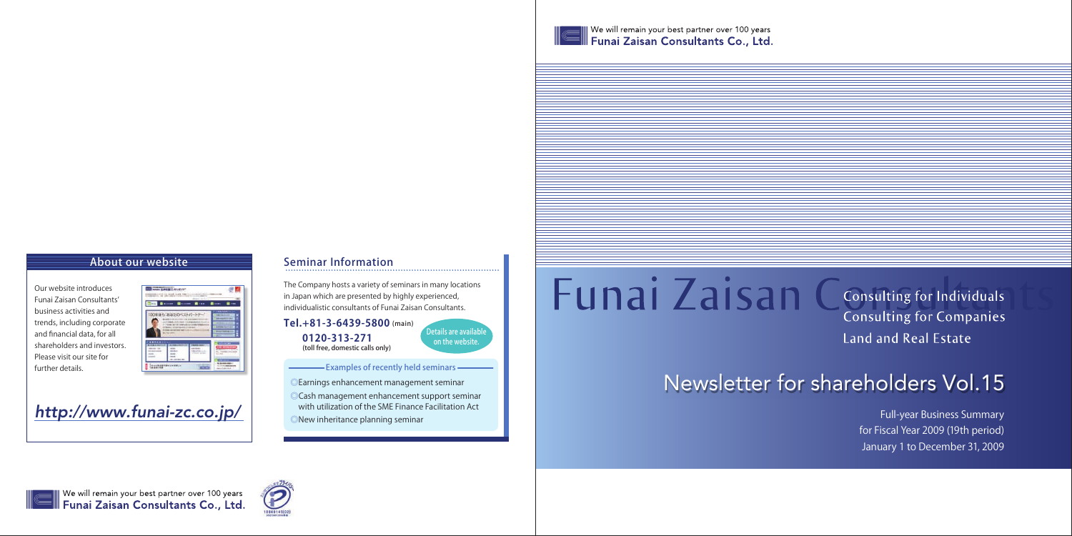

 $\parallel$  We will remain your best partner over 100 years  $\!pmb{\parallel}$  Funai Zaisan Consultants Co., Ltd.

## About our website

The Company hosts a variety of seminars in many locations in Japan which are presented by highly experienced, individualistic consultants of Funai Zaisan Consultants.

## Seminar Information

Details are available on the website.

- Examples of recently held seminars -

- ◎Earnings enhancement management seminar
- ◎Cash management enhancement support seminar with utilization of the SME Finance Facilitation Act
- ◎New inheritance planning seminar

# **Funai Zaisan Consulting for Individuals**

# Newsletter for shareholders Vol.15



We will remain your best partner over 100 years<br>Funai Zaisan Consultants Co., Ltd.



**Consulting for Companies Land and Real Estate** 

Our website introduces Funai Zaisan Consultants' business activities and trends, including corporate and financial data, for all shareholders and investors. Please visit our site for further details.



*http://www.funai-zc.co.jp/*



Full-year Business Summary for Fiscal Year 2009 (19th period) January 1 to December 31, 2009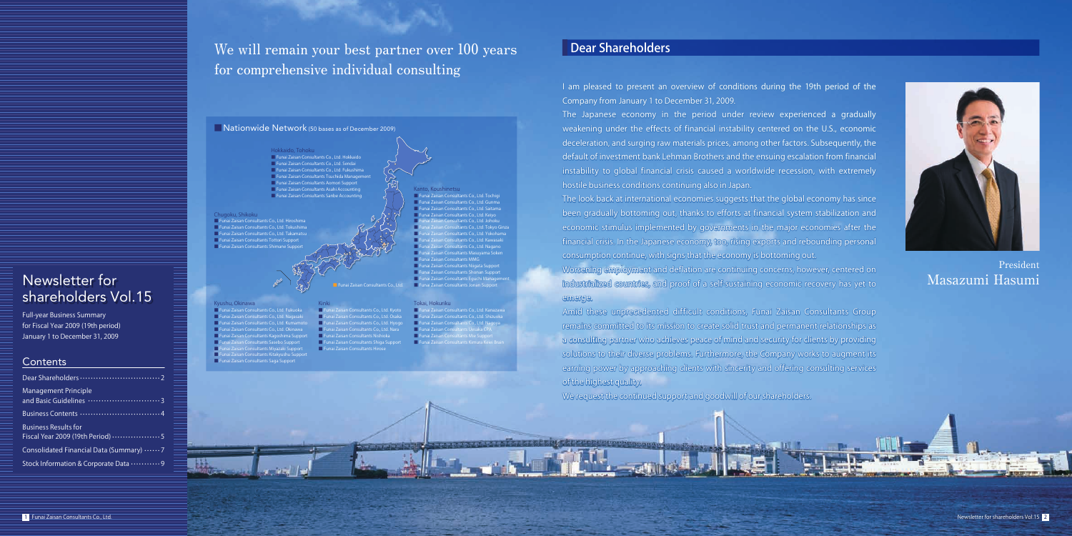| <b>Management Principle</b>              |
|------------------------------------------|
|                                          |
| <b>Business Results for</b>              |
| Consolidated Financial Data (Summary)  7 |
| Stock Information & Corporate Data  9    |

We will remain your best partner over 100 years Dear Shareholders for comprehensive individual consulting

#### **Nationwide Network** (50 bases as of December 2009)

Hokkaido, Tohoku ■ Funai Zaisan Consultants Co., Ltd. Hokkaido ■ Funai Zaisan Consultants Co., Ltd. Sendai ■ Funai Zaisan Consultants Co., Ltd. Fukushima ■ Funai Zaisan Consultants Tsuchida Management ■ Funai Zaisan Consultants Aomori Support<br>■ Funai Zaisan Consultants Asahi Accounting<br>■ Funai Zaisan Consultants Sanbe Accounting

> ■ Funai Zaisan Consultants Co., Ltd. Tokyo Ginza ultants Co., Ltd. Yokoham Itants Co., Ltd. Kawasa

■ Funai Zaisan Consultants Mie Support<br>■ Funai Zaisan Consultants Kimura Keiei Brain

Kanto, Koushinetsu

■ Funai Zaisan Consultants Eguchi Management<br>■ Funai Zaisan Consultants Co., Ltd. Funai Zaisan Consultants Jonan Support

■ Funai Zaisan Consultants Co., Ltd. Tochigi ■ Funai Zaisan Consultants Co., Ltd. Gunma ■ Funai Zaisan Consultants Co., Ltd. Saitama ■ Funai Zaisan Consultants Co., Ltd. Keiyo ■ Funai Zaisan Consultants Co., Ltd. Johoku

■ Funai Zaisan Consultants Co., Ltd. Nagano<br>■ Funai Zaisan Consultants Masuyama Soken ۔<br>| Taisan Consultants MMG **Inai Zaisan Consultants Shonan Support**<br>Inai Zaisan Consultants Fouchi Manager

■ Funai Zaisan Consultants Co., Ltd. Kanazawa ■ Funai Zaisan Consultants Co., Ltd. Shizuoka ■ Funai Zaisan Consultants Co., Ltd. Nagoya ensultants Uesaka CPA

The look back at international economies suggests that the global economy has since been gradually bottoming out, thanks to efforts at financial system stabilization and economic stimulus implemented by governments in the major economies after the financial crisis. In the Japanese economy, too, rising exports and rebounding personal

# ■ Funai Zaisan Consultants Hirose

Kyushu, Okinawa

Kinki ■ Funai Zaisan Consultants Co., Ltd. Kyoto ■ Funai Zaisan Consultants Co., Ltd. Osaka ■ Funai Zaisan Consultants Co., Ltd. Hyogo ■ Funai Zaisan Consultants Co., Ltd. Nara<br>■ Funai Zaisan Consultants Nishioka<br>■ Funai Zaisan Consultants Shiga Support Tokai, Hokuriku

- Funai Zaisan Consultants Co., Ltd. Fukuoka ■ Funai Zaisan Consultants Co., Ltd. Nagasaki ■ Funai Zaisan Consultants Co., Ltd. Kumamoto
- 
- Funai Zaisan Consultants Co., Ltd. Okinawa<br>■ Funai Zaisan Consultants Kagoshima Support<br>■ Funai Zaisan Consultants Sasebo Support
- Funai Zaisan Consultants Miyazaki Support
- Funai Zaisan Consultants Kitakyushu Support Funai Zaisan Consultants Saga Support
- 

#### Chugoku, Shikoku ■ Funai Zaisan Consultants Co., Ltd. Hiroshima ■ Funai Zaisan Consultants Co., Ltd. Tokushima ■ Funai Zaisan Consultants Co., Ltd. Takamatsu

- 
- Funai Zaisan Consultants Tottori Support Funai Zaisan Consultants Shimane Support

Full-year Business Summary for Fiscal Year 2009 (19th period) January 1 to December 31, 2009

#### **Contents**

I am pleased to present an overview of conditions during the 19th period of the Company from January 1 to December 31, 2009.

The Japanese economy in the period under review experienced a gradually weakening under the effects of financial instability centered on the U.S., economic deceleration, and surging raw materials prices, among other factors. Subsequently, the default of investment bank Lehman Brothers and the ensuing escalation from financial instability to global financial crisis caused a worldwide recession, with extremely hostile business conditions continuing also in Japan.

consumption continue, with signs that the economy is bottoming out. Worsening employment and deflation are continuing concerns, however, centered on

## industrialized countries, and proof of a self-sustaining economic recovery has yet to

#### emerge.

Amid these unprecedented difficult conditions, Funai Zaisan Consultants Group



remains committed to its mission to create solid trust and permanent relationships as a consulting partner who achieves peace of mind and security for clients by providing solutions to their diverse problems. Furthermore, the Company works to augment its earning power by approaching clients with sincerity and offering consulting services of the highest quality.

We request the continued support and goodwill of our shareholders.

## Newsletter for shareholders Vol.15

## President Masazumi Hasumi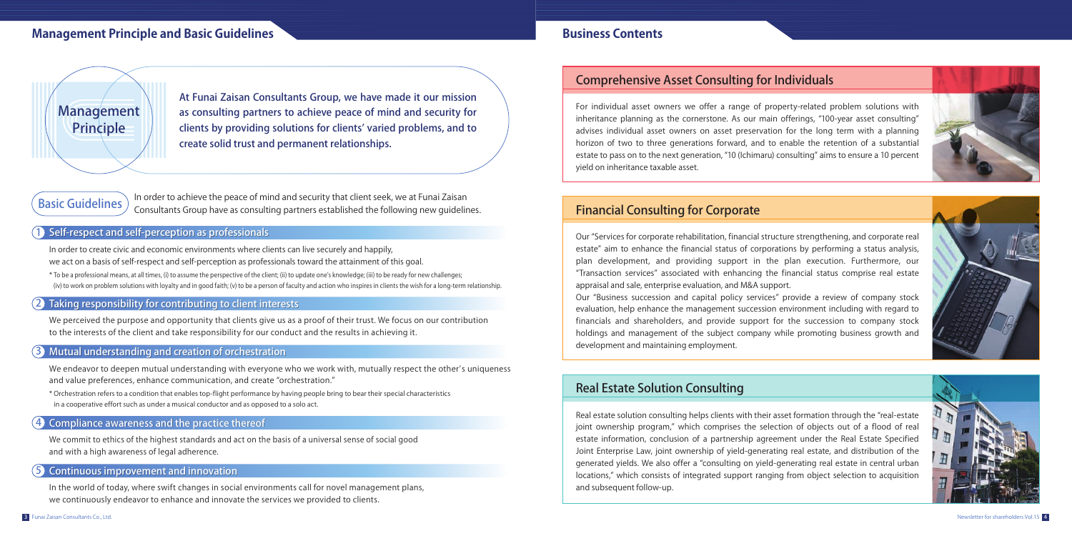## Financial Consulting for Corporate

Our "Services for corporate rehabilitation, financial structure strengthening, and corporate real estate" aim to enhance the financial status of corporations by performing a status analysis, plan development, and providing support in the plan execution. Furthermore, our "Transaction services" associated with enhancing the financial status comprise real estate appraisal and sale, enterprise evaluation, and M&A support.

Our "Business succession and capital policy services" provide a review of company stock evaluation, help enhance the management succession environment including with regard to financials and shareholders, and provide support for the succession to company stock holdings and management of the subject company while promoting business growth and development and maintaining employment.

## Comprehensive Asset Consulting for Individuals

 $\widehat{B}$ asic Guidelines In order to achieve the peace of mind and security that client seek, we at Funai Zaisan Consultants Group have as consulting partners established the following new guidelines. For individual asset owners we offer a range of property-related problem solutions with inheritance planning as the cornerstone. As our main offerings, "100-year asset consulting" advises individual asset owners on asset preservation for the long term with a planning horizon of two to three generations forward, and to enable the retention of a substantial estate to pass on to the next generation, "10 (Ichimaru) consulting" aims to ensure a 10 percent yield on inheritance taxable asset.

#### Self-respect and self-perception as professionals 1

## Real Estate Solution Consulting

#### Taking responsibility for contributing to client interests 2

Real estate solution consulting helps clients with their asset formation through the "real-estate joint ownership program," which comprises the selection of objects out of a flood of real estate information, conclusion of a partnership agreement under the Real Estate Specified Joint Enterprise Law, joint ownership of yield-generating real estate, and distribution of the generated yields. We also offer a "consulting on yield-generating real estate in central urban locations," which consists of integrated support ranging from object selection to acquisition and subsequent follow-up.







In order to create civic and economic environments where clients can live securely and happily, we act on a basis of self-respect and self-perception as professionals toward the attainment of this goal.

\* To be a professional means, at all times, (i) to assume the perspective of the client; (ii) to update one's knowledge; (iii) to be ready for new challenges; (iv) to work on problem solutions with loyalty and in good faith; (v) to be a person of faculty and action who inspires in clients the wish for a long-term relationship.

We perceived the purpose and opportunity that clients give us as a proof of their trust. We focus on our contribution to the interests of the client and take responsibility for our conduct and the results in achieving it.

#### Compliance awareness and the practice thereof Compliance awareness and the practice thereof 4

We commit to ethics of the highest standards and act on the basis of a universal sense of social good and with a high awareness of legal adherence.

#### Continuous improvement and innovation Continuous improvement and innovation 5

In the world of today, where swift changes in social environments call for novel management plans, we continuously endeavor to enhance and innovate the services we provided to clients.

At Funai Zaisan Consultants Group, we have made it our mission as consulting partners to achieve peace of mind and security for clients by providing solutions for clients' varied problems, and to create solid trust and permanent relationships.

## **Management Principle and Basic Guidelines Business Contents Business Contents**



#### 3 Mutual understanding and creation of orchestration Mutual understanding and creation of orchestration

We endeavor to deepen mutual understanding with everyone who we work with, mutually respect the other's uniqueness and value preferences, enhance communication, and create "orchestration."

\* Orchestration refers to a condition that enables top-flight performance by having people bring to bear their special characteristics in a cooperative effort such as under a musical conductor and as opposed to a solo act.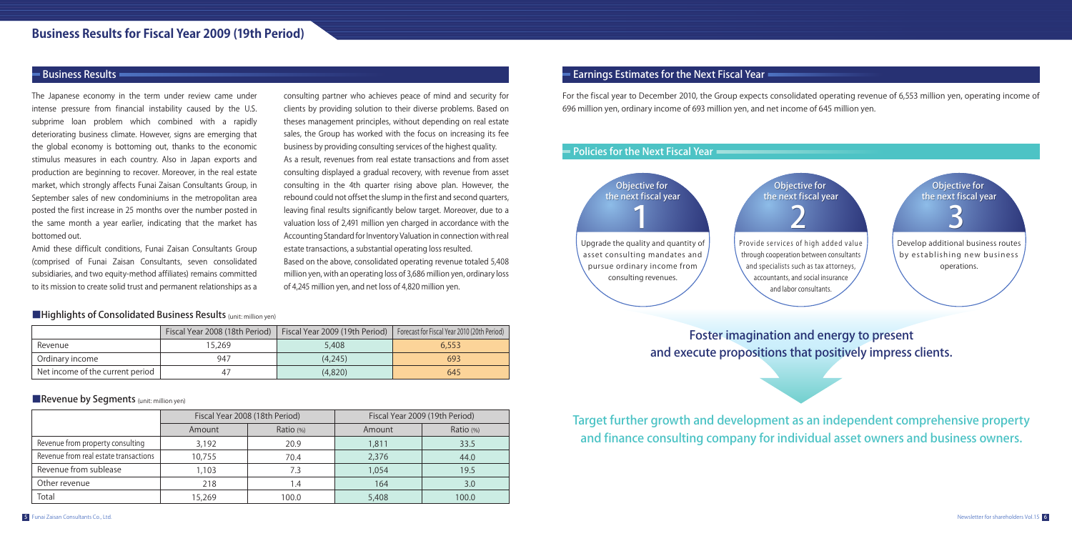Foster imagination and energy to present

and execute propositions that positively impress clients.

Target further growth and development as an independent comprehensive property and finance consulting company for individual asset owners and business owners.

The Japanese economy in the term under review came under intense pressure from financial instability caused by the U.S. subprime loan problem which combined with a rapidly deteriorating business climate. However, signs are emerging that the global economy is bottoming out, thanks to the economic stimulus measures in each country. Also in Japan exports and production are beginning to recover. Moreover, in the real estate market, which strongly affects Funai Zaisan Consultants Group, in September sales of new condominiums in the metropolitan area posted the first increase in 25 months over the number posted in the same month a year earlier, indicating that the market has bottomed out.

Amid these difficult conditions, Funai Zaisan Consultants Group (comprised of Funai Zaisan Consultants, seven consolidated subsidiaries, and two equity-method affiliates) remains committed to its mission to create solid trust and permanent relationships as a consulting partner who achieves peace of mind and security for clients by providing solution to their diverse problems. Based on theses management principles, without depending on real estate sales, the Group has worked with the focus on increasing its fee business by providing consulting services of the highest quality. As a result, revenues from real estate transactions and from asset consulting displayed a gradual recovery, with revenue from asset consulting in the 4th quarter rising above plan. However, the rebound could not offset the slump in the first and second quarters, leaving final results significantly below target. Moreover, due to a valuation loss of 2,491 million yen charged in accordance with the Accounting Standard for Inventory Valuation in connection with real estate transactions, a substantial operating loss resulted. Based on the above, consolidated operating revenue totaled 5,408 million yen, with an operating loss of 3,686 million yen, ordinary loss of 4,245 million yen, and net loss of 4,820 million yen.

## Business Results **Exercise Extendio Extendio Extendio Extendio Extendio Extendio Extendio Extendio Extendio Extendio Extendio Extendio Extendio Extendio Extendio Extendio Extendio Extendio Extendio Extendio Extendio Extend**

For the fiscal year to December 2010, the Group expects consolidated operating revenue of 6,553 million yen, operating income of 696 million yen, ordinary income of 693 million yen, and net income of 645 million yen.

|                                  | Fiscal Year 2008 (18th Period) | Fiscal Year 2009 (19th Period) | Forecast for Fiscal Year 2010 (20th Period) |
|----------------------------------|--------------------------------|--------------------------------|---------------------------------------------|
| Revenue                          | 15.269                         | 5,408                          | 6,553                                       |
| Ordinary income                  | 947                            | (4.245)                        | 693                                         |
| Net income of the current period |                                | (4.820)                        | 645                                         |

#### ■Revenue by Segments (unit: million yen)



#### ■Highlights of Consolidated Business Results (unit: million yen)

|                                       |        | Fiscal Year 2008 (18th Period) |       | Fiscal Year 2009 (19th Period) |
|---------------------------------------|--------|--------------------------------|-------|--------------------------------|
|                                       | Amount | Ratio (%)                      |       | Ratio (%)                      |
| Revenue from property consulting      | 3.192  | 20.9                           | 1,811 | 33.5                           |
| Revenue from real estate transactions | 10,755 | 70.4                           | 2,376 | 44.0                           |
| Revenue from sublease                 | 1,103  | 7.3                            | 1,054 | 19.5                           |
| Other revenue                         | 218    | 1.4                            | 164   | 3.0                            |
| Total                                 | 15,269 | 100.0                          | 5,408 | 100.0                          |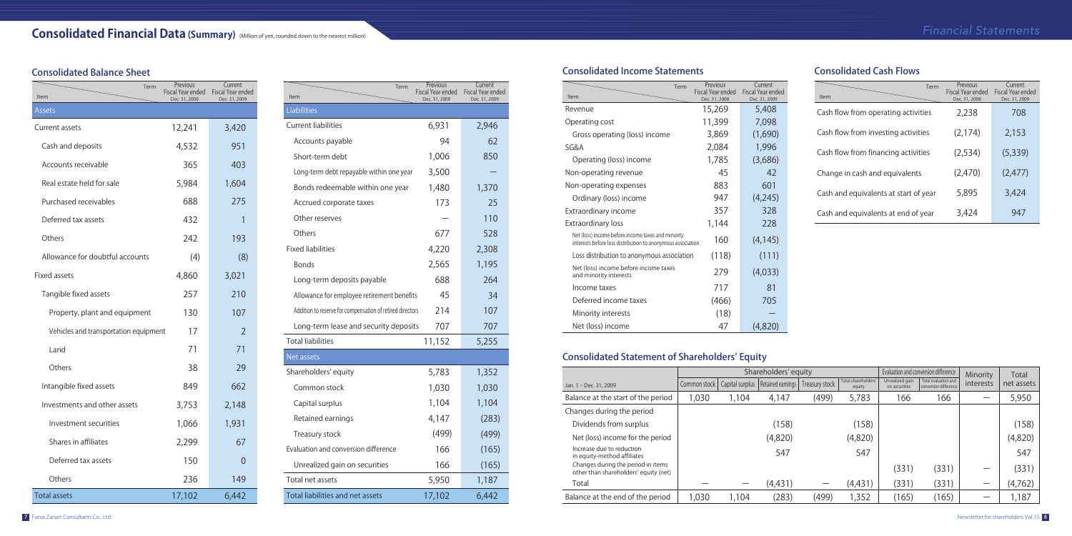## Consolidated Balance Sheet

## Consolidated Income Statements

| Term<br>Item                                              | Previous<br>Fiscal Year ended<br>Dec. 31, 2008 | Current<br>Fiscal Year ended<br>Dec. 31, 2009 |
|-----------------------------------------------------------|------------------------------------------------|-----------------------------------------------|
| Liabilities                                               |                                                |                                               |
| Current liabilities                                       | 6,931                                          | 2,946                                         |
| Accounts payable                                          | 94                                             | 62                                            |
| Short-term debt                                           | 1,006                                          | 850                                           |
| Long-term debt repayable within one year                  | 3,500                                          |                                               |
| Bonds redeemable within one year                          | 1,480                                          | 1,370                                         |
| Accrued corporate taxes                                   | 173                                            | 25                                            |
| Other reserves                                            |                                                | 110                                           |
| Others                                                    | 677                                            | 528                                           |
| <b>Fixed liabilities</b>                                  | 4,220                                          | 2,308                                         |
| <b>Bonds</b>                                              | 2,565                                          | 1,195                                         |
| Long-term deposits payable                                | 688                                            | 264                                           |
| Allowance for employee retirement benefits                | 45                                             | 34                                            |
| Addition to reserve for compensation of retired directors | 214                                            | 107                                           |
| Long-term lease and security deposits                     | 707                                            | 707                                           |
| <b>Total liabilities</b>                                  | 11,152                                         | 5,255                                         |
| Net assets                                                |                                                |                                               |
| Shareholders' equity                                      | 5,783                                          | 1,352                                         |
| Common stock                                              | 1,030                                          | 1,030                                         |
| Capital surplus                                           | 1,104                                          | 1,104                                         |
| Retained earnings                                         | 4,147                                          | (283)                                         |
| Treasury stock                                            | (499)                                          | (499)                                         |
| Evaluation and conversion difference                      | 166                                            | (165)                                         |
| Unrealized gain on securities                             | 166                                            | (165)                                         |
| Total net assets                                          | 5,950                                          | 1,187                                         |
| Total liabilities and net assets                          | 17,102                                         | 6,442                                         |

| Term<br>Item                          | Previous<br>Fiscal Year ended<br>Dec. 31, 2008 | Current<br>Fiscal Year ended<br>Dec. 31, 2009 |
|---------------------------------------|------------------------------------------------|-----------------------------------------------|
| <b>Assets</b>                         |                                                |                                               |
| Current assets                        | 12,241                                         | 3,420                                         |
| Cash and deposits                     | 4,532                                          | 951                                           |
| Accounts receivable                   | 365                                            | 403                                           |
| Real estate held for sale             | 5,984                                          | 1,604                                         |
| Purchased receivables                 | 688                                            | 275                                           |
| Deferred tax assets                   | 432                                            | $\mathbf{1}$                                  |
| Others                                | 242                                            | 193                                           |
| Allowance for doubtful accounts       | (4)                                            | (8)                                           |
| <b>Fixed assets</b>                   | 4,860                                          | 3,021                                         |
| Tangible fixed assets                 | 257                                            | 210                                           |
| Property, plant and equipment         | 130                                            | 107                                           |
| Vehicles and transportation equipment | 17                                             | $\overline{2}$                                |
| Land                                  | 71                                             | 71                                            |
| Others                                | 38                                             | 29                                            |
| Intangible fixed assets               | 849                                            | 662                                           |
| Investments and other assets          | 3,753                                          | 2,148                                         |
| Investment securities                 | 1,066                                          | 1,931                                         |
| Shares in affiliates                  | 2,299                                          | 67                                            |
| Deferred tax assets                   | 150                                            | 0                                             |
| Others                                | 236                                            | 149                                           |
| <b>Total assets</b>                   | 17,102                                         | 6,442                                         |

## Consolidated Statement of Shareholders' Equity

## Consolidated Cash Flows

| Item                                                                                                              | Term | Previous<br><b>Fiscal Year ended</b><br>Dec. 31, 2008 | Current<br><b>Fiscal Year ended</b><br>Dec. 31, 2009 |
|-------------------------------------------------------------------------------------------------------------------|------|-------------------------------------------------------|------------------------------------------------------|
| Revenue                                                                                                           |      | 15,269                                                | 5,408                                                |
| Operating cost                                                                                                    |      | 11,399                                                | 7,098                                                |
| Gross operating (loss) income                                                                                     |      | 3,869                                                 | (1,690)                                              |
| SG&A                                                                                                              |      | 2,084                                                 | 1,996                                                |
| Operating (loss) income                                                                                           |      | 1,785                                                 | (3,686)                                              |
| Non-operating revenue                                                                                             |      | 45                                                    | 42                                                   |
| Non-operating expenses                                                                                            |      | 883                                                   | 601                                                  |
| Ordinary (loss) income                                                                                            |      | 947                                                   | (4,245)                                              |
| Extraordinary income                                                                                              |      | 357                                                   | 328                                                  |
| <b>Extraordinary loss</b>                                                                                         |      | 1,144                                                 | 228                                                  |
| Net (loss) income before income taxes and minority<br>interests before loss distribution to anonymous association |      | 160                                                   | (4, 145)                                             |
| Loss distribution to anonymous association                                                                        |      | (118)                                                 | (111)                                                |
| Net (loss) income before income taxes<br>and minority interests                                                   |      | 279                                                   | (4,033)                                              |
| Income taxes                                                                                                      |      | 717                                                   | 81                                                   |
| Deferred income taxes                                                                                             |      | (466)                                                 | 705                                                  |
| Minority interests                                                                                                |      | (18)                                                  |                                                      |
| Net (loss) income                                                                                                 |      | 47                                                    | (4,820)                                              |

| Term<br>Item                          | Previous<br>Fiscal Year ended<br>Dec. 31, 2008 | Current<br>Fiscal Year ended<br>Dec. 31, 2009 |
|---------------------------------------|------------------------------------------------|-----------------------------------------------|
| Cash flow from operating activities   | 2,238                                          | 708                                           |
| Cash flow from investing activities   | (2, 174)                                       | 2,153                                         |
| Cash flow from financing activities   | (2,534)                                        | (5, 339)                                      |
| Change in cash and equivalents        | (2,470)                                        | (2, 477)                                      |
| Cash and equivalents at start of year | 5,895                                          | 3,424                                         |
| Cash and equivalents at end of year   | 3,424                                          | 947                                           |

|                                                                             |              | Shareholders' equity<br>Evaluation and conversion difference |                                     |                | Minority                      | Total                            |                                               |           |            |
|-----------------------------------------------------------------------------|--------------|--------------------------------------------------------------|-------------------------------------|----------------|-------------------------------|----------------------------------|-----------------------------------------------|-----------|------------|
| Jan. 1 - Dec. 31, 2009                                                      | Common stock |                                                              | Capital surplus   Retained earnings | Treasury stock | Total shareholders'<br>equity | Unrealized gain<br>on securities | Total evaluation and<br>conversion difference | interests | net assets |
| Balance at the start of the period                                          | 1,030        | 1,104                                                        | 4.147                               | (499)          | 5,783                         | 166                              | 166                                           |           | 5,950      |
| Changes during the period                                                   |              |                                                              |                                     |                |                               |                                  |                                               |           |            |
| Dividends from surplus                                                      |              |                                                              | (158)                               |                | (158)                         |                                  |                                               |           | (158)      |
| Net (loss) income for the period                                            |              |                                                              | (4,820)                             |                | (4,820)                       |                                  |                                               |           | (4,820)    |
| Increase due to reduction<br>in equity-method affiliates                    |              |                                                              | 547                                 |                | 547                           |                                  |                                               |           | 547        |
| Changes during the period in items<br>other than shareholders' equity (net) |              |                                                              |                                     |                |                               | (331)                            | (331)                                         |           | (331)      |
| Total                                                                       |              |                                                              | (4, 431)                            |                | (4,431)                       | (331)                            | (331)                                         |           | (4,762)    |
| Balance at the end of the period                                            | 1,030        | 1.104                                                        | (283)                               | (499)          | 1,352                         | (165)                            | (165)                                         |           | i,187      |